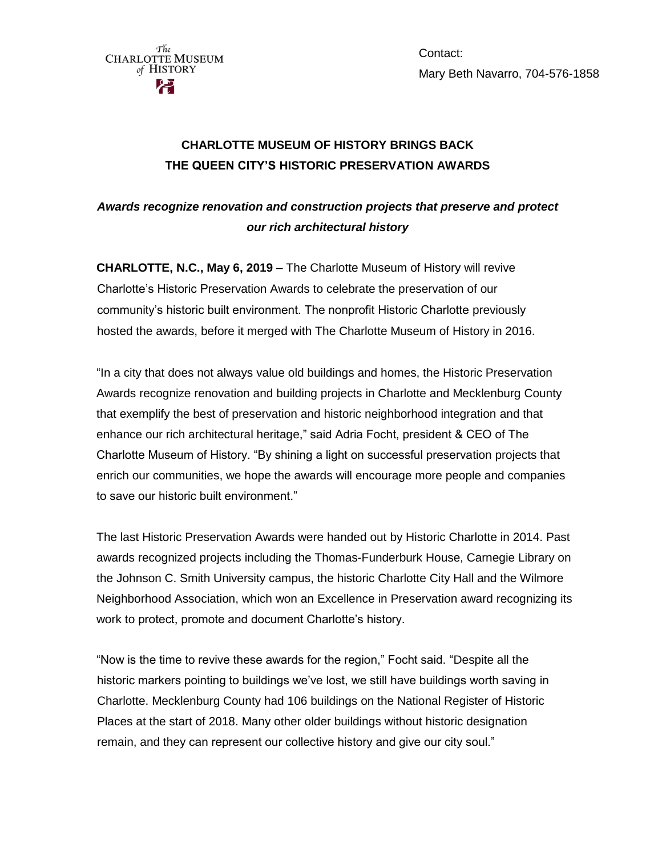

Contact: Mary Beth Navarro, 704-576-1858

## **CHARLOTTE MUSEUM OF HISTORY BRINGS BACK THE QUEEN CITY'S HISTORIC PRESERVATION AWARDS**

## *Awards recognize renovation and construction projects that preserve and protect our rich architectural history*

**CHARLOTTE, N.C., May 6, 2019** – The Charlotte Museum of History will revive Charlotte's Historic Preservation Awards to celebrate the preservation of our community's historic built environment. The nonprofit Historic Charlotte previously hosted the awards, before it merged with The Charlotte Museum of History in 2016.

"In a city that does not always value old buildings and homes, the Historic Preservation Awards recognize renovation and building projects in Charlotte and Mecklenburg County that exemplify the best of preservation and historic neighborhood integration and that enhance our rich architectural heritage," said Adria Focht, president & CEO of The Charlotte Museum of History. "By shining a light on successful preservation projects that enrich our communities, we hope the awards will encourage more people and companies to save our historic built environment."

The last Historic Preservation Awards were handed out by Historic Charlotte in 2014. Past awards recognized projects including the Thomas-Funderburk House, Carnegie Library on the Johnson C. Smith University campus, the historic Charlotte City Hall and the Wilmore Neighborhood Association, which won an Excellence in Preservation award recognizing its work to protect, promote and document Charlotte's history.

"Now is the time to revive these awards for the region," Focht said. "Despite all the historic markers pointing to buildings we've lost, we still have buildings worth saving in Charlotte. Mecklenburg County had 106 buildings on the National Register of Historic Places at the start of 2018. Many other older buildings without historic designation remain, and they can represent our collective history and give our city soul."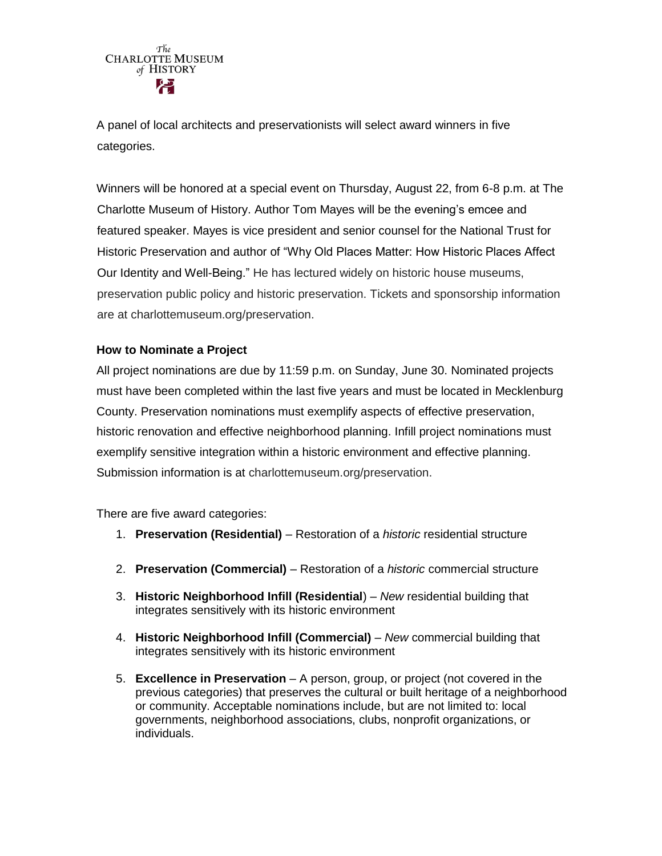A panel of local architects and preservationists will select award winners in five categories.

Winners will be honored at a special event on Thursday, August 22, from 6-8 p.m. at The Charlotte Museum of History. Author Tom Mayes will be the evening's emcee and featured speaker. Mayes is vice president and senior counsel for the National Trust for Historic Preservation and author of "Why Old Places Matter: How Historic Places Affect Our Identity and Well-Being." He has lectured widely on historic house museums, preservation public policy and historic preservation. Tickets and sponsorship information are at charlottemuseum.org/preservation.

## **How to Nominate a Project**

All project nominations are due by 11:59 p.m. on Sunday, June 30. Nominated projects must have been completed within the last five years and must be located in Mecklenburg County. Preservation nominations must exemplify aspects of effective preservation, historic renovation and effective neighborhood planning. Infill project nominations must exemplify sensitive integration within a historic environment and effective planning. Submission information is at charlottemuseum.org/preservation.

There are five award categories:

- 1. **Preservation (Residential)** Restoration of a *historic* residential structure
- 2. **Preservation (Commercial)** Restoration of a *historic* commercial structure
- 3. **Historic Neighborhood Infill (Residential**) *New* residential building that integrates sensitively with its historic environment
- 4. **Historic Neighborhood Infill (Commercial)** *New* commercial building that integrates sensitively with its historic environment
- 5. **Excellence in Preservation**  A person, group, or project (not covered in the previous categories) that preserves the cultural or built heritage of a neighborhood or community. Acceptable nominations include, but are not limited to: local governments, neighborhood associations, clubs, nonprofit organizations, or individuals.